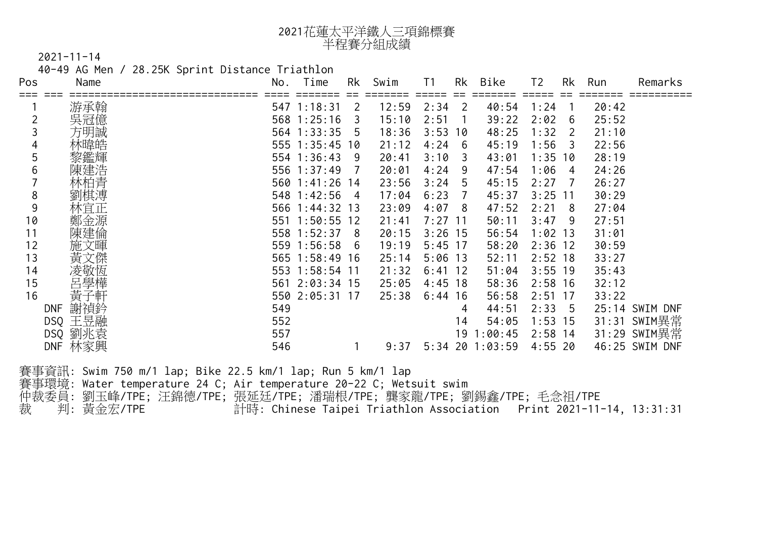| 2021花蓮太平洋鐵人三項錦標賽 |
|------------------|
| 半程賽分組成績          |

40-49 AG Men / 28.25K Sprint Distance Triathlon

| Pos            | Name    | No. | Time           | Rk             | Swim  | T1        | Rk  | Bike    | T <sub>2</sub> | Rk  | Run   | Remarks        |
|----------------|---------|-----|----------------|----------------|-------|-----------|-----|---------|----------------|-----|-------|----------------|
|                |         |     |                |                |       |           |     |         |                |     |       |                |
|                | 游承翰     |     | 547 1:18:31    | 2              | 12:59 | 2:34      | 2   | 40:54   | 1:24           |     | 20:42 |                |
| $\overline{c}$ | 吳冠億     |     | 568 1:25:16    | 3              | 15:10 | 2:51      |     | 39:22   | 2:02           | 6   | 25:52 |                |
|                | 方明誠     |     | 564 1:33:35    | 5              | 18:36 | 3:53      | 10  | 48:25   | 1:32           | 2   | 21:10 |                |
| 4              | 林暐皓     |     | 555 1:35:45 10 |                | 21:12 | 4:24      | -6  | 45:19   | 1:56           | 3   | 22:56 |                |
| 5              | 黎鑑輝     |     | 554 1:36:43    | 9              | 20:41 | 3:10      | 3   | 43:01   | 1:35           | 10  | 28:19 |                |
| 6              | 陳建浩     |     | 556 1:37:49    | 7              | 20:01 | 4:24      | 9   | 47:54   | 1:06           | 4   | 24:26 |                |
|                | 林柏青     |     | 560 1:41:26 14 |                | 23:56 | 3:24      | 5   | 45:15   | 2:27           |     | 26:27 |                |
| 8              | 劉棋溥     |     | 548 1:42:56    | $\overline{4}$ | 17:04 | 6:23      | 7   | 45:37   | $3:25$ 11      |     | 30:29 |                |
| 9              | 林宜正     |     | 566 1:44:32 13 |                | 23:09 | 4:07      | -8  | 47:52   | 2:21           | 8   | 27:04 |                |
| 10             | 鄭金源     | 551 | $1:50:55$ 12   |                | 21:41 | 7:27      | -11 | 50:11   | 3:47           | 9   | 27:51 |                |
| 11             | 陳建倫     |     | 558 1:52:37    | -8             | 20:15 | $3:26$ 15 |     | 56:54   | $1:02$ 13      |     | 31:01 |                |
| 12             | 施文暉     |     | 559 1:56:58    | 6              | 19:19 | $5:45$ 17 |     | 58:20   | $2:36$ 12      |     | 30:59 |                |
| 13             | 黃文傑     |     | 565 1:58:49 16 |                | 25:14 | 5:06      | 13  | 52:11   | $2:52$ 18      |     | 33:27 |                |
| 14             | 凌敬恆     |     | 553 1:58:54 11 |                | 21:32 | 6:41      | -12 | 51:04   | $3:55$ 19      |     | 35:43 |                |
| 15             | 呂學樺     |     | 561 2:03:34 15 |                | 25:05 | 4:45      | 18  | 58:36   | $2:58$ 16      |     | 32:12 |                |
| 16             | 黃<br>子軒 |     | 550 2:05:31 17 |                | 25:38 | 6:44      | 16  | 56:58   | 2:51           | -17 | 33:22 |                |
| <b>DNF</b>     | 謝禎鈐     | 549 |                |                |       |           | 4   | 44:51   | 2:33           | -5  |       | 25:14 SWIM DNF |
| <b>DSQ</b>     | 王昱融     | 552 |                |                |       |           | 14  | 54:05   | $1:53$ 15      |     |       | 31:31 SWIM異常   |
| <b>DSQ</b>     | 劉兆袁     | 557 |                |                |       |           | 19  | 1:00:45 | $2:58$ 14      |     |       | 31:29 SWIM異常   |
| <b>DNF</b>     | 林家興     | 546 |                |                | 9:37  | 5:34      | 20  | 1:03:59 | 4:55           | 20  |       | 46:25 SWIM DNF |

賽事資訊: Swim 750 m/1 lap; Bike 22.5 km/1 lap; Run 5 km/1 lap 賽事環境: Water temperature 24 C; Air temperature 20-22 C; Wetsuit swim 仲裁委員: 劉玉峰/TPE; 汪錦德/TPE; 張延廷/TPE; 潘瑞根/TPE; 龔家龍/TPE; 劉錫鑫/TPE; 毛念祖/TPE 裁 判: 黃金宏/TPE 計時: Chinese Taipei Triathlon Association Print 2021-11-14, 13:31:31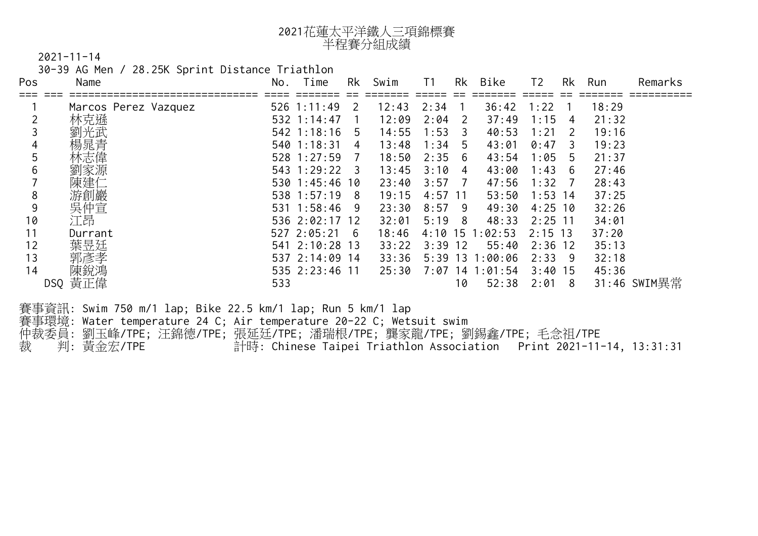| 2021花蓮太平洋鐵人三項錦標賽 |
|------------------|
| 半程賽分組成績          |

30-39 AG Men / 28.25K Sprint Distance Triathlon

| Name                            | No.                  | Time | Rk             | Swim                                                                                                                                                                                                                           | T1                                                         |                |                                                                                                                                                                  |                                                   |                                  |                                                                                                                           | Remarks                                                                                                                                                                                       |
|---------------------------------|----------------------|------|----------------|--------------------------------------------------------------------------------------------------------------------------------------------------------------------------------------------------------------------------------|------------------------------------------------------------|----------------|------------------------------------------------------------------------------------------------------------------------------------------------------------------|---------------------------------------------------|----------------------------------|---------------------------------------------------------------------------------------------------------------------------|-----------------------------------------------------------------------------------------------------------------------------------------------------------------------------------------------|
|                                 |                      |      | 2              | 12:43                                                                                                                                                                                                                          | 2:34                                                       |                | 36:42                                                                                                                                                            | 1:22                                              |                                  | 18:29                                                                                                                     |                                                                                                                                                                                               |
| 林克遜                             |                      |      |                | 12:09                                                                                                                                                                                                                          |                                                            | $\overline{2}$ | 37:49                                                                                                                                                            | 1:15                                              | 4                                | 21:32                                                                                                                     |                                                                                                                                                                                               |
|                                 |                      |      | -5             | 14:55                                                                                                                                                                                                                          |                                                            |                | 40:53                                                                                                                                                            | 1:21                                              | 2                                | 19:16                                                                                                                     |                                                                                                                                                                                               |
|                                 |                      |      | $\overline{4}$ | 13:48                                                                                                                                                                                                                          |                                                            | 5 <sup>7</sup> | 43:01                                                                                                                                                            |                                                   | 3                                | 19:23                                                                                                                     |                                                                                                                                                                                               |
|                                 |                      |      | 7              | 18:50                                                                                                                                                                                                                          |                                                            | 6              |                                                                                                                                                                  |                                                   | 5                                | 21:37                                                                                                                     |                                                                                                                                                                                               |
|                                 |                      |      |                | 13:45                                                                                                                                                                                                                          |                                                            | 4              |                                                                                                                                                                  |                                                   | 6                                | 27:46                                                                                                                     |                                                                                                                                                                                               |
| 建仁                              |                      |      |                | 23:40                                                                                                                                                                                                                          |                                                            | $\overline{7}$ |                                                                                                                                                                  |                                                   |                                  | 28:43                                                                                                                     |                                                                                                                                                                                               |
| 游創巖                             |                      |      |                | 19:15                                                                                                                                                                                                                          |                                                            |                |                                                                                                                                                                  |                                                   |                                  | 37:25                                                                                                                     |                                                                                                                                                                                               |
| 吳仲宣                             |                      |      |                | 23:30                                                                                                                                                                                                                          | 8:57                                                       | -9             |                                                                                                                                                                  |                                                   |                                  | 32:26                                                                                                                     |                                                                                                                                                                                               |
| 江昂                              |                      |      |                | 32:01                                                                                                                                                                                                                          |                                                            | - 8            | 48:33                                                                                                                                                            |                                                   |                                  | 34:01                                                                                                                     |                                                                                                                                                                                               |
| Durrant                         |                      |      |                | 18:46                                                                                                                                                                                                                          |                                                            |                |                                                                                                                                                                  |                                                   |                                  | 37:20                                                                                                                     |                                                                                                                                                                                               |
| 葉昱廷                             |                      |      |                | 33:22                                                                                                                                                                                                                          |                                                            |                | 55:40                                                                                                                                                            |                                                   |                                  | 35:13                                                                                                                     |                                                                                                                                                                                               |
| 郭彥孝                             |                      |      |                | 33:36                                                                                                                                                                                                                          |                                                            |                |                                                                                                                                                                  |                                                   |                                  | 32:18                                                                                                                     |                                                                                                                                                                                               |
| 陳銳馮                             |                      |      |                | 25:30                                                                                                                                                                                                                          |                                                            |                |                                                                                                                                                                  |                                                   |                                  | 45:36                                                                                                                     |                                                                                                                                                                                               |
| DSQ 黃正偉                         | 533                  |      |                |                                                                                                                                                                                                                                |                                                            | 10             | 52:38                                                                                                                                                            |                                                   |                                  |                                                                                                                           | 31:46 SWIM異常                                                                                                                                                                                  |
| 賽事環境:<br>仲裁委員:<br>判:<br>黃金宏/TPE |                      |      |                |                                                                                                                                                                                                                                |                                                            |                |                                                                                                                                                                  |                                                   |                                  |                                                                                                                           |                                                                                                                                                                                               |
|                                 | Marcos Perez Vazquez |      | 540 1:18:31    | $526$ 1:11:49<br>532 1:14:47<br>$542$ 1:18:16<br>$528$ 1:27:59<br>543 1:29:22 3<br>530 1:45:46 10<br>538 1:57:19 8<br>531 1:58:46 9<br>536 2:02:17 12<br>$527$ 2:05:21 6<br>541 2:10:28 13<br>537 2:14:09 14<br>535 2:23:46 11 | 賽事資訊: Swim 750 m/1 lap; Bike 22.5 km/1 lap; Run 5 km/1 lap |                | 2:04<br>$1:53-3$<br>1:34<br>2:35<br>3:10<br>3:57<br>$4:57$ 11<br>5:19<br>$4:10$ 15<br>$3:39$ 12<br>Water temperature 24 C; Air temperature 20-22 C; Wetsuit swim | 1:02:53<br>$5:39$ 13 1:00:06<br>$7:07$ 14 1:01:54 | 43:54<br>43:00<br>47:56<br>49:30 | 0:47<br>1:05<br>1:43<br>1:32<br>$53:50$ 1:53 14<br>$4:25$ 10<br>$2:25$ 11<br>$2:15$ 13<br>$2:36$ 12<br>2:339<br>$3:40$ 15 | Bike<br>Rk<br>Rk<br>T <sub>2</sub><br>Run<br>$2:01 \quad 8$<br>劉玉峰/TPE;汪錦德/TPE;張延廷/TPE;潘瑞根/TPE;龔家龍/TPE;劉錫鑫/TPE;毛念祖/TPE<br>計時: Chinese Taipei Triathlon Association Print 2021-11-14, 13:31:31 |

## CTTA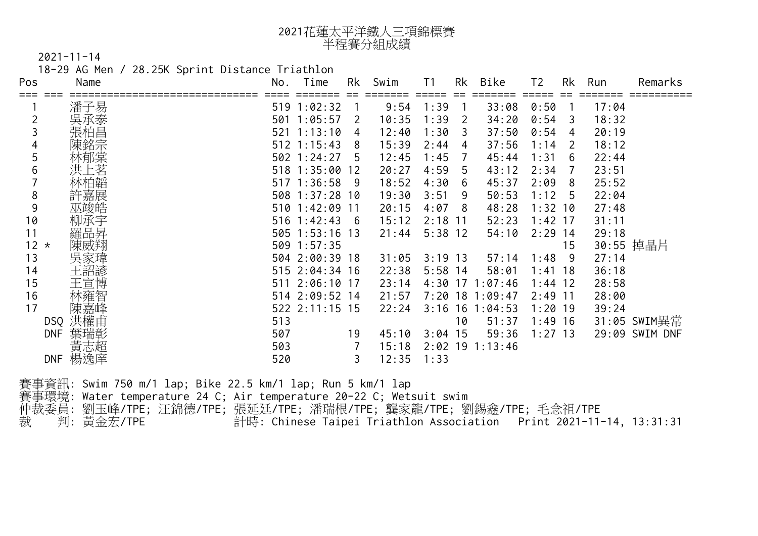| 2021花蓮太平洋鐵人三項錦標賽 |
|------------------|
| 半程賽分組成績          |

18-29 AG Men / 28.25K Sprint Distance Triathlon

| Pos                        | Name | No. | Time              | <b>Rk</b>       | Swim  |           | Rk                      | Bike              | T <sub>2</sub> | Rk | Run   | Remarks        |
|----------------------------|------|-----|-------------------|-----------------|-------|-----------|-------------------------|-------------------|----------------|----|-------|----------------|
|                            | 潘子易  |     | 519 1:02:32       |                 | 9:54  | 1:39      |                         | 33:08             | 0:50           |    | 17:04 |                |
|                            |      | 501 | 1:05:57           | 2               | 10:35 | 1:39      | $\overline{2}$          | 34:20             | 0:54           | 3  | 18:32 |                |
|                            | 張柏昌  | 521 | 1:13:10           | 4               | 12:40 | 1:30      | $\overline{\mathbf{3}}$ | 37:50             | 0:54           | 4  | 20:19 |                |
|                            |      |     | $512$ 1:15:43     | 8               | 15:39 | 2:44      | 4                       | 37:56             | 1:14           | 2  | 18:12 |                |
| 5                          |      |     | $502$ 1:24:27     | 5               | 12:45 | 1:45      | 7                       | 45:44             | 21:31          | 6  | 22:44 |                |
| 6                          |      |     | 518 1:35:00 12    |                 | 20:27 | 4:59      | 5                       | 43:12             | 2:34           |    | 23:51 |                |
|                            |      |     | $517 \; 1:36:58$  | $-9$            | 18:52 | 4:30      | 6                       | 45:37             | 2:09           | 8  | 25:52 |                |
| 8                          | 嘉展   |     | 508 1:37:28 10    |                 | 19:30 | 3:51      | 9                       | $50:53$ 1:12      |                | 5  | 22:04 |                |
| 9                          |      |     | $510 \ \ 1:42:09$ | $\overline{11}$ | 20:15 | 4:07      | 8                       | 48:28             | $1:32$ 10      |    | 27:48 |                |
| 10                         |      |     | 516 1:42:43       | 6               | 15:12 | 2:18      | -11                     | 52:23             | $1:42$ 17      |    | 31:11 |                |
| 11                         | 羅品昇  |     | $505$ 1:53:16 13  |                 | 21:44 | $5:38$ 12 |                         | 54:10             | $2:29$ 14      |    | 29:18 |                |
| 12 <sup>2</sup><br>$\star$ |      |     | 509 1:57:35       |                 |       |           |                         |                   |                | 15 |       | 30:55 掉晶片      |
| 13                         |      |     | 504 2:00:39 18    |                 | 31:05 | $3:19$ 13 |                         | 57:14             | 1:48           | 9  | 27:14 |                |
| 14                         |      |     | 515 2:04:34 16    |                 | 22:38 | $5:58$ 14 |                         | 58:01             | 1:41           | 18 | 36:18 |                |
| 15                         | 王宣博  |     | 511 2:06:10 17    |                 | 23:14 | 4:30      |                         | $17 \t1:07:46$    | $1:44$ 12      |    | 28:58 |                |
| 16                         |      |     | 514 2:09:52 14    |                 | 21:57 |           |                         | 7:20 18 1:09:47   | $2:49$ 11      |    | 28:00 |                |
| 17                         |      |     | 522 2:11:15 15    |                 | 22:24 | 3:16      | 16                      | 1:04:53           | $1:20$ 19      |    | 39:24 |                |
| DSQ                        |      | 513 |                   |                 |       |           | 10                      | 51:37             | $1:49$ 16      |    |       | 31:05 SWIM異常   |
| <b>DNF</b>                 | 葉瑞彰  | 507 |                   | 19              | 45:10 | 3:04      | 15                      | 59:36             | $1:27$ 13      |    |       | 29:09 SWIM DNF |
|                            | 黃志超  | 503 |                   |                 | 15:18 |           |                         | $2:02$ 19 1:13:46 |                |    |       |                |
| <b>DNF</b>                 | 楊逸庠  | 520 |                   |                 | 12:35 | 1:33      |                         |                   |                |    |       |                |

賽事資訊: Swim 750 m/1 lap; Bike 22.5 km/1 lap; Run 5 km/1 lap

賽事環境: Water temperature 24 C; Air temperature 20-22 C; Wetsuit swim 仲裁委員: 劉玉峰/TPE; 汪錦德/TPE; 張延廷/TPE; 潘瑞根/TPE; 龔家龍/TPE; 劉錫鑫/TPE; 毛念祖/TPE

裁 判: 黃金宏/TPE 計時: Chinese Taipei Triathlon Association Print 2021-11-14, 13:31:31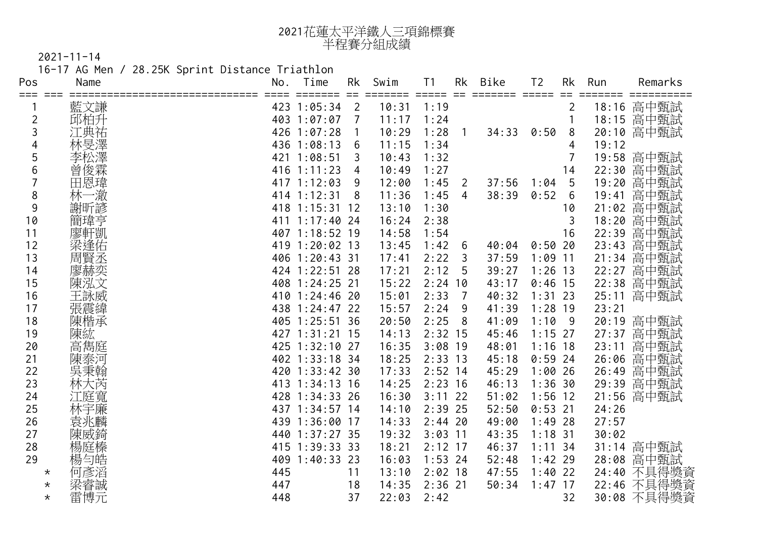| 2021花蓮太平洋鐵人三項錦標賽 |
|------------------|
| 半程賽分組成績          |

2021-11-14 16-17 AG Men / 28.25K Sprint Distance Triathlon

| Pos            | Name          | No. | Time           | <b>Rk</b><br>=E | Swim  | T <sub>1</sub> | <b>Rk</b>      | <b>Bike</b> | T <sub>2</sub> | <b>Rk</b>      | Run   | Remarks            |
|----------------|---------------|-----|----------------|-----------------|-------|----------------|----------------|-------------|----------------|----------------|-------|--------------------|
| $==$           | 藍文謙           |     | 423 1:05:34    | $\overline{2}$  | 10:31 | $-1:19$        |                |             |                | 2              | 18:16 | 高中甄試               |
| $\overline{2}$ | 邱柏升           |     | 403 1:07:07    | $\overline{7}$  | 11:17 | 1:24           |                |             |                |                |       | 18:15 高中甄試         |
| 3              |               |     | 426 1:07:28    | -1              | 10:29 | 1:28           |                | 34:33       | 0:50           | 8              |       | 20:10 高中甄試         |
| 4              |               |     | 436 1:08:13    | 6               | 11:15 | 1:34           |                |             |                | 4              | 19:12 |                    |
| 5              |               | 421 | 1:08:51        | $\overline{3}$  | 10:43 | 1:32           |                |             |                | $\overline{7}$ | 19:58 | 高中甄試               |
| 6              | 曾             | 416 | 1:11:23        | $\overline{4}$  | 10:49 | 1:27           |                |             |                | 14             | 22:30 | 高中甄試               |
| $\overline{7}$ | 田恩瑋           | 417 | 1:12:03        | 9               | 12:00 | 1:45           | 2              | 37:56       | 1:04           | 5              | 19:20 | 高中甄試               |
| 8              | 澈             | 414 | 1:12:31        | 8               | 11:36 | 1:45           | $\overline{4}$ | 38:39       | 0:52           | 6              | 19:41 | 高中甄試               |
| 9              | 謝昕諺           |     | 418 1:15:31 12 |                 | 13:10 | 1:30           |                |             |                | 10             | 21:02 | 高中甄試               |
| 10             |               |     | 411 1:17:40 24 |                 | 16:24 | 2:38           |                |             |                | $\overline{3}$ | 18:20 | 高中甄試               |
| 11             | 廖軒凱           |     | 407 1:18:52 19 |                 | 14:58 | 1:54           |                |             |                | 16             | 22:39 | 高中甄試               |
| 12             | 梁逢佑           |     | 419 1:20:02 13 |                 | 13:45 | 1:42           | 6              | 40:04       | 0:50.20        |                | 23:43 | 高中甄試               |
| 13             | 周賢丞           |     | 406 1:20:43 31 |                 | 17:41 | 2:22           | $\overline{3}$ | 37:59       | $1:09$ 11      |                | 21:34 | 高中甄試               |
| 14             | 廖赫奕           |     | 424 1:22:51 28 |                 | 17:21 | 2:12           | 5              | 39:27       | $1:26$ 13      |                | 22:27 | 高中甄試               |
| 15             | 陳泓文           |     | 408 1:24:25 21 |                 | 15:22 | $2:24$ 10      |                | 43:17       | $0:46$ 15      |                | 22:38 | 高中甄試               |
| 16             | 王詠威           |     | 410 1:24:46 20 |                 | 15:01 | 2:33           | $\overline{7}$ | 40:32       | $1:31$ 23      |                | 25:11 | 高中甄試               |
| 17             | = 張震緯<br> 陳楷承 |     | 438 1:24:47 22 |                 | 15:57 | 2:24           | 9              | 41:39       | $1:28$ 19      |                | 23:21 |                    |
| 18             |               |     | 405 1:25:51 36 |                 | 20:50 | 2:25           | 8              | 41:09       | 1:109          |                | 20:19 | 高中甄試               |
| 19             | 陳紘            |     | 427 1:31:21 15 |                 | 14:13 | $2:32$ 15      |                | 45:46       | $1:15$ 27      |                | 27:37 | 高中甄試               |
| 20             | 高雋庭           |     | 425 1:32:10 27 |                 | 16:35 | $3:08$ 19      |                | 48:01       | $1:16$ 18      |                | 23:11 | 高中甄試               |
| 21             | 陳泰河           |     | 402 1:33:18 34 |                 | 18:25 | $2:33$ 13      |                | 45:18       | $0:59$ 24      |                | 26:06 | 高中甄試               |
| 22             | 吳秉翰           | 420 | 1:33:42.30     |                 | 17:33 | $2:52$ 14      |                | 45:29       | 1:00206        |                | 26:49 | 高中甄試               |
| 23             | 林大芮           | 413 | $1:34:13$ 16   |                 | 14:25 | $2:23$ 16      |                | 46:13       | 1:36.30        |                | 29:39 | 高中甄試               |
| 24             | 江庭寬           | 428 | $1:34:33$ 26   |                 | 16:30 | $3:11$ 22      |                | 51:02       | $1:56$ 12      |                | 21:56 | 高中甄試               |
| 25             | 林宇廉           |     | 437 1:34:57 14 |                 | 14:10 | $2:39$ 25      |                | 52:50       | $0:53$ 21      |                | 24:26 |                    |
| 26             | 袁兆麟           |     | 439 1:36:00 17 |                 | 14:33 | $2:44$ 20      |                | 49:00       | $1:49$ 28      |                | 27:57 |                    |
| 27             | 陳威錡           |     | 440 1:37:27 35 |                 | 19:32 | $3:03$ 11      |                | 43:35       | $1:18$ 31      |                | 30:02 |                    |
| 28             | 楊庭榛           |     | $415$ 1:39:33  | 33              | 18:21 | $2:12$ 17      |                | 46:37       | $1:11$ 34      |                | 31:14 | 高中甄試               |
| 29             | 楊勻皓           |     | 409 1:40:33 23 |                 | 16:03 | $1:53$ 24      |                | 52:48       | $1:42$ 29      |                | 28:08 | 高中甄試               |
| $^\star$       | 何彥滔           | 445 |                | 11              | 13:10 | $2:02$ 18      |                | 47:55       | $1:40$ 22      |                | 24:40 | 1<br>不具得獎資<br>不具得獎 |
| $^\star$       | 梁睿誠           | 447 |                | 18              | 14:35 | $2:36$ 21      |                | 50:34       | $1:47$ 17      |                | 22:46 |                    |
| $\star$        | 雷博元           | 448 |                | 37              | 22:03 | 2:42           |                |             |                | 32             | 30:08 | 不具得獎資              |
|                |               |     |                |                 |       |                |                |             |                |                |       | 9<br>12            |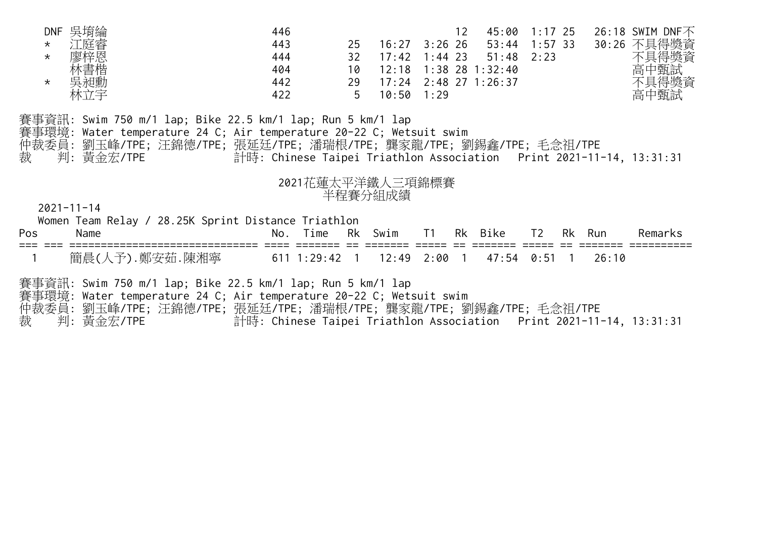| DNF 吳圹<br>$\star$<br>$\star$<br>$\star$<br>林立宇 |                                                                                                                                                                                                                            | 446<br>443<br>25<br>32 <sup>°</sup><br>444<br>404<br>10<br>442<br>29<br>422                  | 16:27<br>17:42<br>12:18<br>17:24<br>$10:50$ 1:29 | 12 <sup>2</sup><br>$3:26$ 26<br>$1:44$ 23<br>$1:38$ 28 $1:32:40$<br>$2:48$ 27 1:26:37 | 51:48   | 45:00 1:17 25<br>53:44 1:57 33<br>2:23 |       | 26:18 SWIM DNF不<br>30:26 不具得獎資<br>不具得獎資<br>高中甄試 |
|------------------------------------------------|----------------------------------------------------------------------------------------------------------------------------------------------------------------------------------------------------------------------------|----------------------------------------------------------------------------------------------|--------------------------------------------------|---------------------------------------------------------------------------------------|---------|----------------------------------------|-------|-------------------------------------------------|
| 判: 黃金宏/TPE<br>裁                                | 賽事資訊: Swim 750 m/1 lap; Bike 22.5 km/1 lap; Run 5 km/1 lap<br>事環境: Water temperature 24 C; Air temperature 20-22 C; Wetsuit swim<br>仲裁委員: 劉玉峰/TPE; 汪錦德/TPE; 張延廷/TPE; 潘瑞根 <mark>/TPE; 龔家</mark> 龍/TPE; 劉錫鑫/TPE; 毛念祖/TPE     | 計時: Chinese Taipei Triathlon Association Print 2021-11-14, 13:31:31                          |                                                  |                                                                                       |         |                                        |       |                                                 |
| $2021 - 11 - 14$<br>Pos<br>Name                | Women Team Relay / 28.25K Sprint Distance Triathlon                                                                                                                                                                        | 2021花蓮太平洋鐵人三項錦標賽<br>Time<br>No.<br>Rk                                                        | 半程賽分組成績<br>Swim                                  | T1                                                                                    | Rk Bike | T2<br>Rk                               | Run   | Remarks                                         |
| 裁<br>判:<br>黃金宏/TPE                             | 簡晨(人予).鄭安茹.陳湘寧<br>賽事資訊: Swim 750 m/1 lap; Bike 22.5 km/1 lap; Run 5 km/1 lap<br>賽事環境: Water temperature 24 C; Air temperature 20-22 C; Wetsuit swim<br>仲裁委員: 劉玉峰/TPE; 汪錦德/TPE; 張延廷/TPE; 潘瑞根/TPE; 龔家龍/TPE; 劉錫鑫/TPE; 毛念祖/TPE | $611$ 1:29:42 1 12:49<br>計時: Chinese Taipei Triathlon Association Print 2021-11-14, 13:31:31 |                                                  | $2:00$ 1                                                                              | 47:54   | 0:51                                   | 26:10 |                                                 |
|                                                |                                                                                                                                                                                                                            |                                                                                              |                                                  |                                                                                       |         |                                        |       |                                                 |
|                                                |                                                                                                                                                                                                                            | GIHA                                                                                         |                                                  |                                                                                       |         |                                        |       |                                                 |

10 12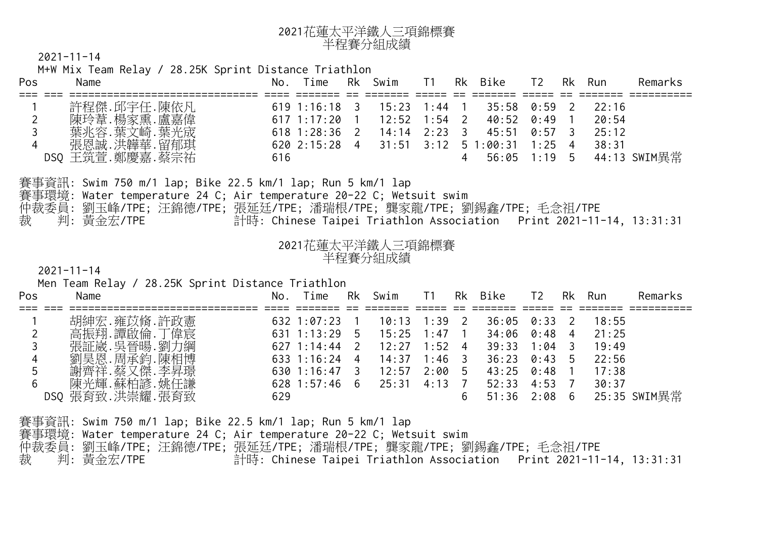

M+W Mix Team Relay / 28.25K Sprint Distance Triathlon

| Pos            | Name                                                                                       |                                                                     | No. Time        | Rk             | Swim             | T1         |                         | Rk Bike        | T <sub>2</sub>             | Rk           | Run    | Remarks      |
|----------------|--------------------------------------------------------------------------------------------|---------------------------------------------------------------------|-----------------|----------------|------------------|------------|-------------------------|----------------|----------------------------|--------------|--------|--------------|
|                | 許程傑.邱宇任.陳依凡                                                                                |                                                                     | 619 1:16:18 3   |                | $-15:23$ 1:44 1  |            |                         | 35:58          | 0:59                       | 2            | 22:16  |              |
| $\overline{2}$ | 陳玲葦.楊家熏.盧嘉偉                                                                                |                                                                     | 617 1:17:20 1   |                | 12:52            | $1:54$ 2   |                         | 40:52          | 0:49                       | $\mathbf{1}$ | 20:54  |              |
|                | 葉兆容.葉文崎.葉光宬                                                                                |                                                                     | $618$ 1:28:36 2 |                | 14:14            | $2:23 \t3$ |                         | 145:51         | 0:57                       | 3            | 25:12  |              |
|                | 張恩誠.洪韡華.留郁琪                                                                                |                                                                     | 620 2:15:28 4   |                | 31:51            | 3:12       |                         | 51:00:31       | $1:25$ 4                   |              | 38:31  |              |
|                | DSQ 王筑萱.鄭慶嘉.蔡宗祐                                                                            | 616                                                                 |                 |                |                  |            |                         | 56:05 1:19 5   |                            |              |        | 44:13 SWIM異常 |
|                | 賽事資訊: Swim 750 m/1 lap; Bike 22.5 km/1 lap; <mark>Run 5 km/1 lap</mark>                    |                                                                     |                 |                |                  |            |                         |                |                            |              |        |              |
|                | 賽事環境: Water temperature 24 C; Air temperatu <mark>re 20-</mark> 22 C; Wetsuit swim         |                                                                     |                 |                |                  |            |                         |                |                            |              |        |              |
|                | 仲裁委員:劉玉峰/TPE;汪錦德/TPE;張延廷/TPE;潘 <mark>瑞根/TPE;</mark> 龔家龍/ <mark>TP</mark> E;劉錫鑫/TPE;毛念祖/TPE |                                                                     |                 |                |                  |            |                         |                |                            |              |        |              |
| 裁              | 判:黃金宏/TPE                                                                                  | 計時: Chinese Taipei Triathlon Association Print 2021-11-14, 13:31:31 |                 |                |                  |            |                         |                |                            |              |        |              |
|                |                                                                                            |                                                                     |                 |                |                  |            |                         |                |                            |              |        |              |
|                |                                                                                            |                                                                     |                 |                |                  |            |                         |                |                            |              |        |              |
|                |                                                                                            |                                                                     |                 |                | 2021花蓮太平洋鐵人三項錦標賽 |            |                         |                |                            |              |        |              |
|                |                                                                                            |                                                                     |                 |                | 半程賽分組成績          |            |                         |                |                            |              |        |              |
|                | $2021 - 11 - 14$                                                                           |                                                                     |                 |                |                  |            |                         |                |                            |              |        |              |
|                | Men Team Relay / 28.25K Sprint Distance Triathlon<br>Name                                  |                                                                     | No. Time        | Rk             | Swim             | T1         |                         | Rk Bike        | T <sub>2</sub>             |              | Rk Run | Remarks      |
|                |                                                                                            |                                                                     | ==========      |                |                  |            |                         |                |                            |              |        |              |
|                | 胡紳宏.雍苡脩.許政憲                                                                                |                                                                     | $632$ 1:07:23   |                | 10:13            | 1:39       | $\overline{\mathbf{2}}$ | 36:05          | $0:33$ 2                   |              | 18:55  |              |
|                | 高振翔.譚啟倫.丁偉宸                                                                                |                                                                     | 631 1:13:29     | 5              | 15:25            | 1:47       | $\sqrt{1}$              | 34:06          | $0:48$ 4                   |              | 21:25  |              |
| 3              | 張証崴.吳晉暘.劉力綱                                                                                |                                                                     | $627$ 1:14:44   | $\overline{2}$ | 12:27            | 1:52       | $\overline{4}$          | 39:33          | $1:04$ 3                   |              | 19:49  |              |
|                | 劉昊恩. 周承鈞. 陳相博                                                                              |                                                                     | 633 1:16:24 4   |                | 14:37            | 1:46       | $\sqrt{3}$              | 36:23          | 0:43:5                     |              | 22:56  |              |
| 5              | 謝齊祥.蔡又傑.李昇璟                                                                                |                                                                     | 630 1:16:47 3   |                | 12:57            | $2:00$ 5   |                         | 43:25          | $0:48$ 1                   |              | 17:38  |              |
| Pos            | 陳光輝.蘇柏諺.姚任謙<br>DSQ 張育致.洪崇耀.張育致                                                             | 629                                                                 | $628$ 1:57:46 6 |                | 25:31            | 4:13       | $\overline{7}$<br>6     | 52:33<br>51:36 | $4:53 \quad 7$<br>$2:08$ 6 |              | 30:37  | 25:35 SWIM異常 |

賽事環境: Water temperature 24 C; Air temperature 20-22 C; Wetsuit swim 仲裁委員: 劉玉峰/TPE; 汪錦德/TPE; 張延廷/TPE; 潘瑞根/TPE; 龔家龍/TPE; 劉錫鑫/TPE; 毛念祖/TPE 裁 判: 黃金宏/TPE 計時: Chinese Taipei Triathlon Association Print 2021-11-14, 13:31:31